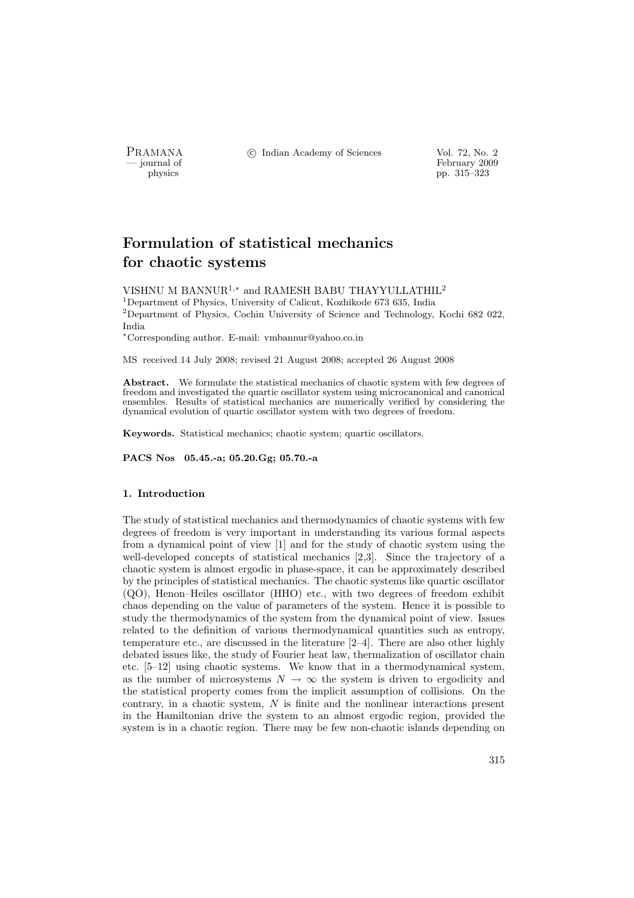PRAMANA <sup>6</sup> C Indian Academy of Sciences Vol. 72, No. 2

physics<br>
and the settlement of February 2009<br>
pp. 315–323 physics pp. 315–323

# Formulation of statistical mechanics for chaotic systems

VISHNU M BANNUR<sup>1</sup>,<sup>∗</sup> and RAMESH BABU THAYYULLATHIL<sup>2</sup>

<sup>1</sup>Department of Physics, University of Calicut, Kozhikode 673 635, India <sup>2</sup>Department of Physics, Cochin University of Science and Technology, Kochi 682 022,

India

<sup>∗</sup>Corresponding author. E-mail: vmbannur@yahoo.co.in

MS received 14 July 2008; revised 21 August 2008; accepted 26 August 2008

Abstract. We formulate the statistical mechanics of chaotic system with few degrees of freedom and investigated the quartic oscillator system using microcanonical and canonical ensembles. Results of statistical mechanics are numerically verified by considering the dynamical evolution of quartic oscillator system with two degrees of freedom.

Keywords. Statistical mechanics; chaotic system; quartic oscillators.

PACS Nos 05.45.-a; 05.20.Gg; 05.70.-a

#### 1. Introduction

The study of statistical mechanics and thermodynamics of chaotic systems with few degrees of freedom is very important in understanding its various formal aspects from a dynamical point of view [1] and for the study of chaotic system using the well-developed concepts of statistical mechanics [2,3]. Since the trajectory of a chaotic system is almost ergodic in phase-space, it can be approximately described by the principles of statistical mechanics. The chaotic systems like quartic oscillator (QO), Henon–Heiles oscillator (HHO) etc., with two degrees of freedom exhibit chaos depending on the value of parameters of the system. Hence it is possible to study the thermodynamics of the system from the dynamical point of view. Issues related to the definition of various thermodynamical quantities such as entropy, temperature etc., are discussed in the literature [2–4]. There are also other highly debated issues like, the study of Fourier heat law, thermalization of oscillator chain etc. [5–12] using chaotic systems. We know that in a thermodynamical system, as the number of microsystems  $N \to \infty$  the system is driven to ergodicity and the statistical property comes from the implicit assumption of collisions. On the contrary, in a chaotic system,  $N$  is finite and the nonlinear interactions present in the Hamiltonian drive the system to an almost ergodic region, provided the system is in a chaotic region. There may be few non-chaotic islands depending on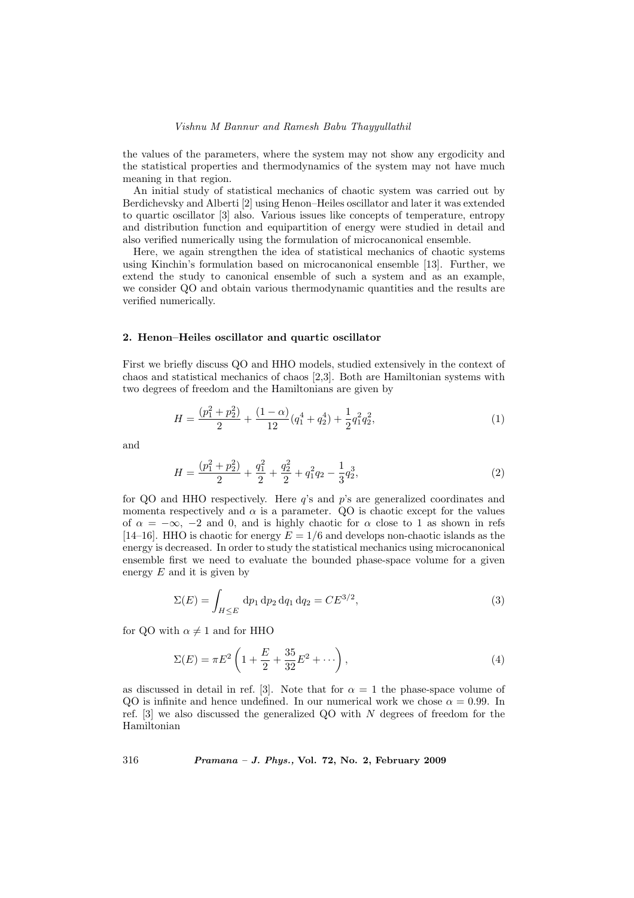the values of the parameters, where the system may not show any ergodicity and the statistical properties and thermodynamics of the system may not have much meaning in that region.

An initial study of statistical mechanics of chaotic system was carried out by Berdichevsky and Alberti [2] using Henon–Heiles oscillator and later it was extended to quartic oscillator [3] also. Various issues like concepts of temperature, entropy and distribution function and equipartition of energy were studied in detail and also verified numerically using the formulation of microcanonical ensemble.

Here, we again strengthen the idea of statistical mechanics of chaotic systems using Kinchin's formulation based on microcanonical ensemble [13]. Further, we extend the study to canonical ensemble of such a system and as an example, we consider QO and obtain various thermodynamic quantities and the results are verified numerically.

### 2. Henon–Heiles oscillator and quartic oscillator

First we briefly discuss QO and HHO models, studied extensively in the context of chaos and statistical mechanics of chaos [2,3]. Both are Hamiltonian systems with two degrees of freedom and the Hamiltonians are given by

$$
H = \frac{(p_1^2 + p_2^2)}{2} + \frac{(1 - \alpha)}{12} (q_1^4 + q_2^4) + \frac{1}{2} q_1^2 q_2^2,
$$
\n<sup>(1)</sup>

and

$$
H = \frac{(p_1^2 + p_2^2)}{2} + \frac{q_1^2}{2} + \frac{q_2^2}{2} + q_1^2 q_2 - \frac{1}{3} q_2^3,
$$
\n(2)

for QO and HHO respectively. Here  $q$ 's and  $p$ 's are generalized coordinates and momenta respectively and  $\alpha$  is a parameter. QO is chaotic except for the values of  $\alpha = -\infty$ ,  $-2$  and 0, and is highly chaotic for  $\alpha$  close to 1 as shown in refs [14–16]. HHO is chaotic for energy  $E = 1/6$  and develops non-chaotic islands as the energy is decreased. In order to study the statistical mechanics using microcanonical ensemble first we need to evaluate the bounded phase-space volume for a given energy  $E$  and it is given by

$$
\Sigma(E) = \int_{H \le E} dp_1 dp_2 dq_1 dq_2 = C E^{3/2}, \tag{3}
$$

for QO with  $\alpha \neq 1$  and for HHO

$$
\Sigma(E) = \pi E^2 \left( 1 + \frac{E}{2} + \frac{35}{32} E^2 + \cdots \right),\tag{4}
$$

as discussed in detail in ref. [3]. Note that for  $\alpha = 1$  the phase-space volume of QO is infinite and hence undefined. In our numerical work we chose  $\alpha = 0.99$ . In ref. [3] we also discussed the generalized QO with N degrees of freedom for the Hamiltonian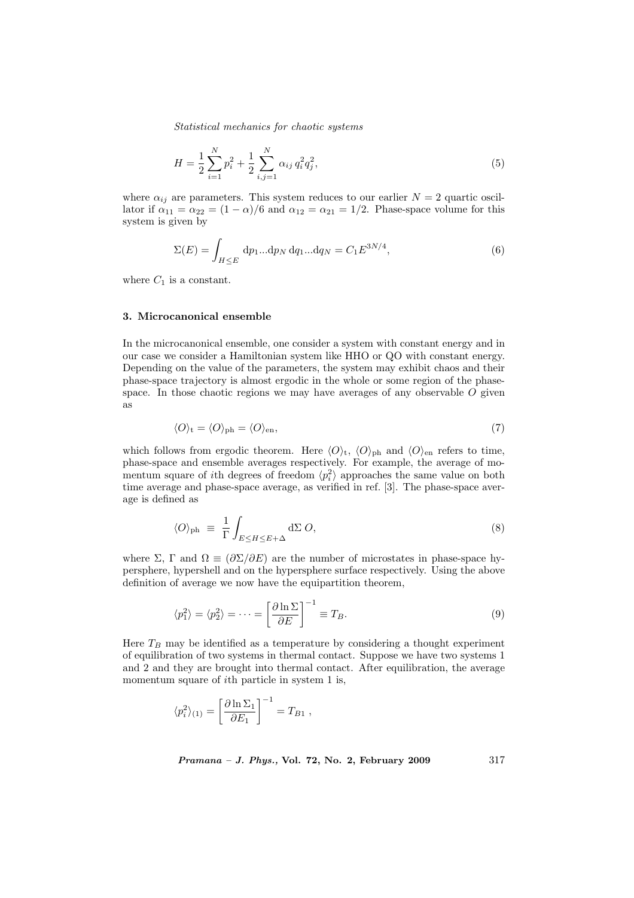$$
H = \frac{1}{2} \sum_{i=1}^{N} p_i^2 + \frac{1}{2} \sum_{i,j=1}^{N} \alpha_{ij} q_i^2 q_j^2,
$$
\n(5)

where  $\alpha_{ij}$  are parameters. This system reduces to our earlier  $N = 2$  quartic oscillator if  $\alpha_{11} = \alpha_{22} = (1 - \alpha)/6$  and  $\alpha_{12} = \alpha_{21} = 1/2$ . Phase-space volume for this system is given by

$$
\Sigma(E) = \int_{H \le E} dp_1 ... dp_N dq_1 ... dq_N = C_1 E^{3N/4},\tag{6}
$$

where  $C_1$  is a constant.

### 3. Microcanonical ensemble

In the microcanonical ensemble, one consider a system with constant energy and in our case we consider a Hamiltonian system like HHO or QO with constant energy. Depending on the value of the parameters, the system may exhibit chaos and their phase-space trajectory is almost ergodic in the whole or some region of the phasespace. In those chaotic regions we may have averages of any observable  $O$  given as

$$
\langle O \rangle_{\rm t} = \langle O \rangle_{\rm ph} = \langle O \rangle_{\rm en},\tag{7}
$$

which follows from ergodic theorem. Here  $\langle O \rangle_t$ ,  $\langle O \rangle_{ph}$  and  $\langle O \rangle_{en}$  refers to time, phase-space and ensemble averages respectively. For example, the average of momentum square of *i*th degrees of freedom  $\langle p_i^2 \rangle$  approaches the same value on both time average and phase-space average, as verified in ref. [3]. The phase-space average is defined as

$$
\langle O \rangle_{\text{ph}} \equiv \frac{1}{\Gamma} \int_{E \le H \le E + \Delta} d\Sigma O,\tag{8}
$$

where  $\Sigma$ ,  $\Gamma$  and  $\Omega \equiv (\partial \Sigma / \partial E)$  are the number of microstates in phase-space hypersphere, hypershell and on the hypersphere surface respectively. Using the above definition of average we now have the equipartition theorem,

$$
\langle p_1^2 \rangle = \langle p_2^2 \rangle = \dots = \left[ \frac{\partial \ln \Sigma}{\partial E} \right]^{-1} \equiv T_B. \tag{9}
$$

Here  $T_B$  may be identified as a temperature by considering a thought experiment of equilibration of two systems in thermal contact. Suppose we have two systems 1 and 2 and they are brought into thermal contact. After equilibration, the average momentum square of ith particle in system 1 is,

$$
\langle p_i^2 \rangle_{(1)} = \left[ \frac{\partial \ln \Sigma_1}{\partial E_1} \right]^{-1} = T_{B1} ,
$$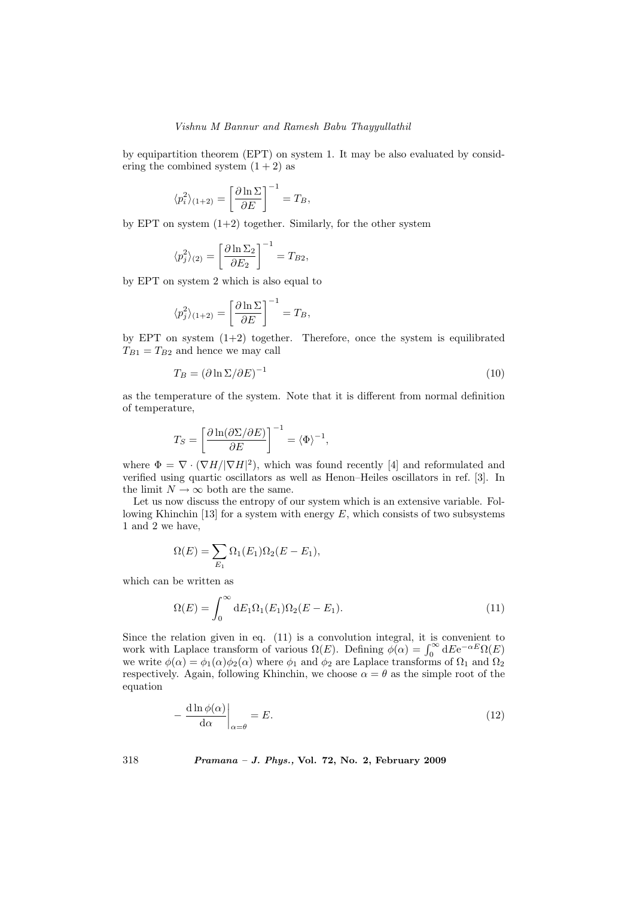### Vishnu M Bannur and Ramesh Babu Thayyullathil

by equipartition theorem (EPT) on system 1. It may be also evaluated by considering the combined system  $(1 + 2)$  as

$$
\langle p_i^2 \rangle_{(1+2)} = \left[ \frac{\partial \ln \Sigma}{\partial E} \right]^{-1} = T_B,
$$

by EPT on system  $(1+2)$  together. Similarly, for the other system

$$
\langle p_j^2 \rangle_{(2)} = \left[ \frac{\partial \ln \Sigma_2}{\partial E_2} \right]^{-1} = T_{B2},
$$

by EPT on system 2 which is also equal to

$$
\langle p_j^2 \rangle_{(1+2)} = \left[ \frac{\partial \ln \Sigma}{\partial E} \right]^{-1} = T_B,
$$

by EPT on system  $(1+2)$  together. Therefore, once the system is equilibrated  $T_{B1} = T_{B2}$  and hence we may call

$$
T_B = (\partial \ln \Sigma / \partial E)^{-1} \tag{10}
$$

as the temperature of the system. Note that it is different from normal definition of temperature,

$$
T_S = \left[\frac{\partial \ln(\partial \Sigma / \partial E)}{\partial E}\right]^{-1} = \langle \Phi \rangle^{-1},
$$

where  $\Phi = \nabla \cdot (\nabla H / |\nabla H|^2)$ , which was found recently [4] and reformulated and verified using quartic oscillators as well as Henon–Heiles oscillators in ref. [3]. In the limit  $N \to \infty$  both are the same.

Let us now discuss the entropy of our system which is an extensive variable. Following Khinchin [13] for a system with energy  $E$ , which consists of two subsystems 1 and 2 we have,

$$
\Omega(E) = \sum_{E_1} \Omega_1(E_1)\Omega_2(E - E_1),
$$

which can be written as

$$
\Omega(E) = \int_0^\infty dE_1 \Omega_1(E_1) \Omega_2(E - E_1).
$$
\n(11)

Since the relation given in eq. (11) is a convolution integral, it is convenient to Since the relation given in eq. (11) is a convolution integral, it is convenient to work with Laplace transform of various  $\Omega(E)$ . Defining  $\phi(\alpha) = \int_0^{\infty} dE e^{-\alpha E} \Omega(E)$ we write  $\phi(\alpha) = \phi_1(\alpha)\phi_2(\alpha)$  where  $\phi_1$  and  $\phi_2$  are Laplace transforms of  $\Omega_1$  and  $\Omega_2$ respectively. Again, following Khinchin, we choose  $\alpha = \theta$  as the simple root of the equation

$$
-\frac{\mathrm{d}\ln\phi(\alpha)}{\mathrm{d}\alpha}\bigg|_{\alpha=\theta} = E. \tag{12}
$$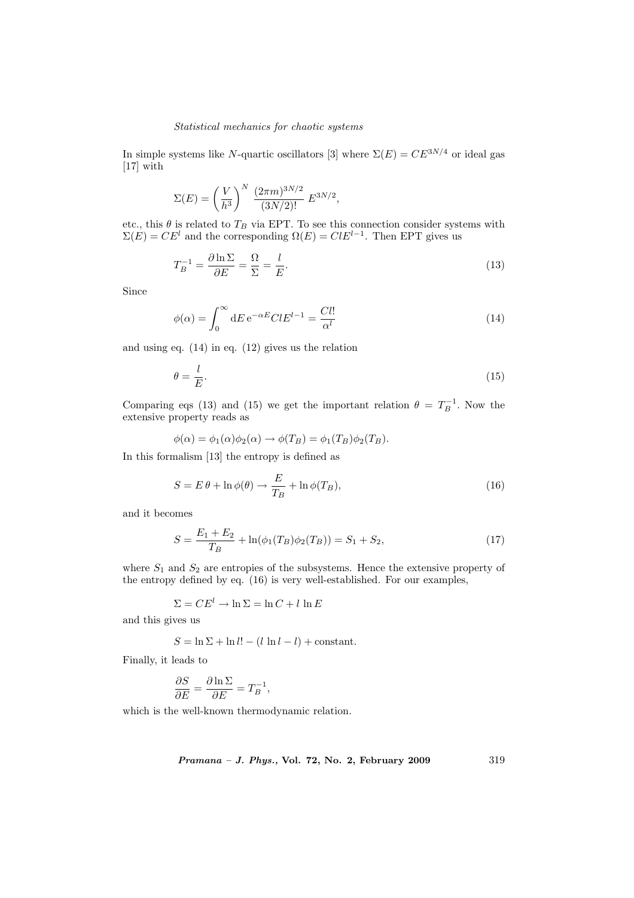In simple systems like N-quartic oscillators [3] where  $\Sigma(E) = CE^{3N/4}$  or ideal gas [17] with

$$
\Sigma(E) = \left(\frac{V}{h^3}\right)^N \frac{(2\pi m)^{3N/2}}{(3N/2)!} E^{3N/2},
$$

etc., this  $\theta$  is related to  $T_B$  via EPT. To see this connection consider systems with  $\Sigma(E) = CE^{l}$  and the corresponding  $\Omega(E) = CIE^{l-1}$ . Then EPT gives us

$$
T_B^{-1} = \frac{\partial \ln \Sigma}{\partial E} = \frac{\Omega}{\Sigma} = \frac{l}{E}.
$$
\n(13)

Since

$$
\phi(\alpha) = \int_0^\infty dE \, e^{-\alpha E} C l E^{l-1} = \frac{Cl!}{\alpha^l} \tag{14}
$$

and using eq. (14) in eq. (12) gives us the relation

$$
\theta = \frac{l}{E}.\tag{15}
$$

Comparing eqs (13) and (15) we get the important relation  $\theta = T_B^{-1}$ . Now the extensive property reads as

$$
\phi(\alpha) = \phi_1(\alpha)\phi_2(\alpha) \rightarrow \phi(T_B) = \phi_1(T_B)\phi_2(T_B).
$$

In this formalism [13] the entropy is defined as

$$
S = E\theta + \ln \phi(\theta) \to \frac{E}{T_B} + \ln \phi(T_B), \qquad (16)
$$

and it becomes

$$
S = \frac{E_1 + E_2}{T_B} + \ln(\phi_1(T_B)\phi_2(T_B)) = S_1 + S_2,
$$
\n(17)

where  $S_1$  and  $S_2$  are entropies of the subsystems. Hence the extensive property of the entropy defined by eq. (16) is very well-established. For our examples,

$$
\Sigma = CE^{l} \to \ln \Sigma = \ln C + l \ln E
$$

and this gives us

$$
S = \ln \Sigma + \ln l! - (l \ln l - l) +
$$
constant.

Finally, it leads to

$$
\frac{\partial S}{\partial E} = \frac{\partial \ln \Sigma}{\partial E} = T_B^{-1},
$$

which is the well-known thermodynamic relation.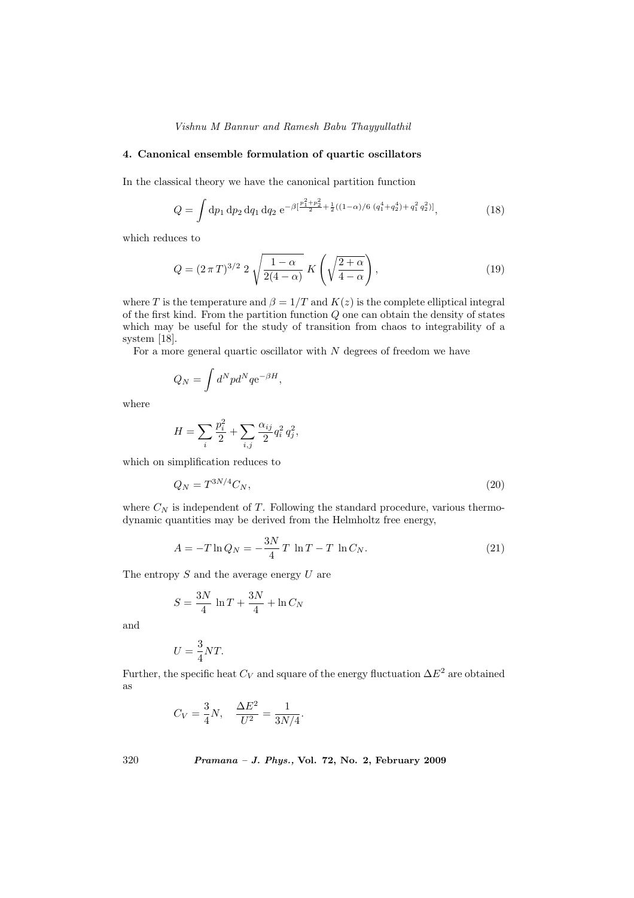# Vishnu M Bannur and Ramesh Babu Thayyullathil

# 4. Canonical ensemble formulation of quartic oscillators

In the classical theory we have the canonical partition function

$$
Q = \int dp_1 dp_2 dq_1 dq_2 e^{-\beta \left[\frac{p_1^2 + p_2^2}{2} + \frac{1}{2}((1-\alpha)/6 (q_1^4 + q_2^4) + q_1^2 q_2^2)\right]},
$$
\n(18)

which reduces to

$$
Q = (2 \pi T)^{3/2} \, 2 \sqrt{\frac{1-\alpha}{2(4-\alpha)}} \, K\left(\sqrt{\frac{2+\alpha}{4-\alpha}}\right),\tag{19}
$$

where T is the temperature and  $\beta = 1/T$  and  $K(z)$  is the complete elliptical integral of the first kind. From the partition function  $Q$  one can obtain the density of states which may be useful for the study of transition from chaos to integrability of a system [18].

For a more general quartic oscillator with  $N$  degrees of freedom we have

$$
Q_N = \int d^N p d^N q e^{-\beta H},
$$

where

$$
H = \sum_{i} \frac{p_i^2}{2} + \sum_{i,j} \frac{\alpha_{ij}}{2} q_i^2 q_j^2,
$$

which on simplification reduces to

$$
Q_N = T^{3N/4} C_N,\tag{20}
$$

where  $C_N$  is independent of T. Following the standard procedure, various thermodynamic quantities may be derived from the Helmholtz free energy,

$$
A = -T \ln Q_N = -\frac{3N}{4} T \ln T - T \ln C_N.
$$
 (21)

The entropy  $S$  and the average energy  $U$  are

$$
S = \frac{3N}{4} \ln T + \frac{3N}{4} + \ln C_N
$$

and

$$
U = \frac{3}{4}NT.
$$

Further, the specific heat  $C_V$  and square of the energy fluctuation  $\Delta E^2$  are obtained as

$$
C_V = \frac{3}{4}N
$$
,  $\frac{\Delta E^2}{U^2} = \frac{1}{3N/4}$ .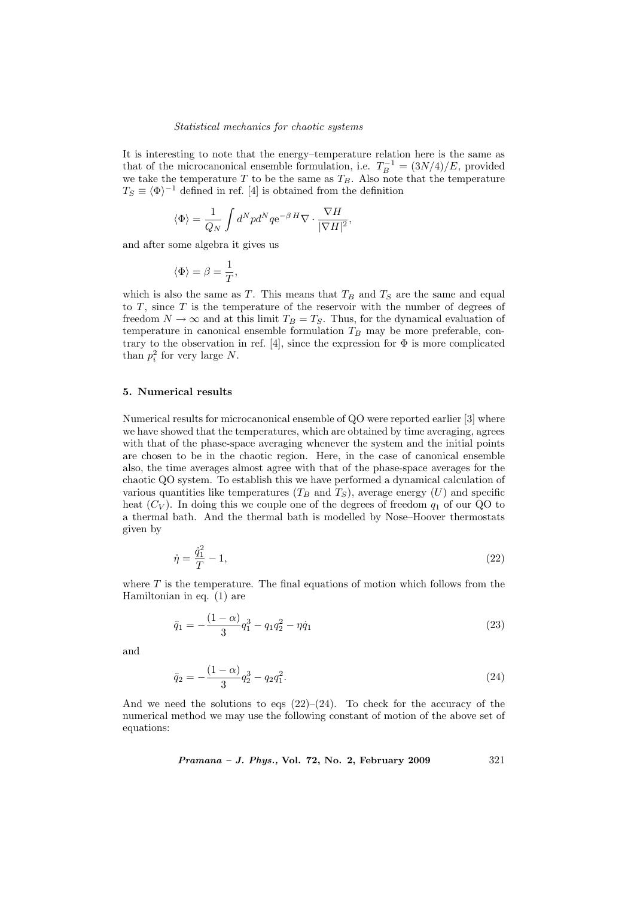It is interesting to note that the energy–temperature relation here is the same as that of the microcanonical ensemble formulation, i.e.  $T_B^{-1} = (3N/4)/E$ , provided we take the temperature T to be the same as  $T_B$ . Also note that the temperature  $T_S \equiv \langle \Phi \rangle^{-1}$  defined in ref. [4] is obtained from the definition

$$
\langle \Phi \rangle = \frac{1}{Q_N} \int d^N p d^N q {\rm e}^{-\beta \, H} \nabla \cdot \frac{\nabla H}{|\nabla H|^2},
$$

and after some algebra it gives us

$$
\langle \Phi \rangle = \beta = \frac{1}{T},
$$

which is also the same as T. This means that  $T_B$  and  $T_S$  are the same and equal to  $T$ , since  $T$  is the temperature of the reservoir with the number of degrees of freedom  $N \to \infty$  and at this limit  $T_B = T_S$ . Thus, for the dynamical evaluation of temperature in canonical ensemble formulation  $T_B$  may be more preferable, contrary to the observation in ref. [4], since the expression for  $\Phi$  is more complicated than  $p_i^2$  for very large N.

# 5. Numerical results

Numerical results for microcanonical ensemble of QO were reported earlier [3] where we have showed that the temperatures, which are obtained by time averaging, agrees with that of the phase-space averaging whenever the system and the initial points are chosen to be in the chaotic region. Here, in the case of canonical ensemble also, the time averages almost agree with that of the phase-space averages for the chaotic QO system. To establish this we have performed a dynamical calculation of various quantities like temperatures  $(T_B \text{ and } T_S)$ , average energy  $(U)$  and specific heat  $(C_V)$ . In doing this we couple one of the degrees of freedom  $q_1$  of our QO to a thermal bath. And the thermal bath is modelled by Nose–Hoover thermostats given by

$$
\dot{\eta} = \frac{\dot{q}_1^2}{T} - 1,\tag{22}
$$

where  $T$  is the temperature. The final equations of motion which follows from the Hamiltonian in eq. (1) are

$$
\ddot{q}_1 = -\frac{(1-\alpha)}{3}q_1^3 - q_1q_2^2 - \eta \dot{q}_1 \tag{23}
$$

and

$$
\ddot{q}_2 = -\frac{(1-\alpha)}{3}q_2^3 - q_2 q_1^2. \tag{24}
$$

And we need the solutions to eqs  $(22)$ – $(24)$ . To check for the accuracy of the numerical method we may use the following constant of motion of the above set of equations:

Pramana – J. Phys., Vol. 72, No. 2, February 2009 321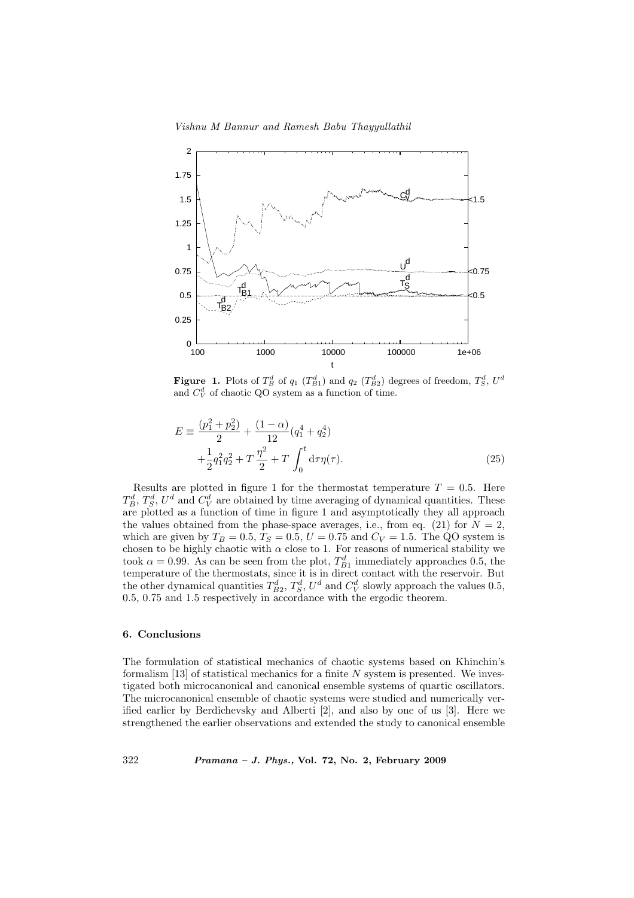Vishnu M Bannur and Ramesh Babu Thayyullathil



**Figure 1.** Plots of  $T_B^d$  of  $q_1$   $(T_{B1}^d)$  and  $q_2$   $(T_{B2}^d)$  degrees of freedom,  $T_S^d$ ,  $U^d$ and  $C_V^d$  of chaotic QO system as a function of time.

$$
E = \frac{(p_1^2 + p_2^2)}{2} + \frac{(1 - \alpha)}{12} (q_1^4 + q_2^4)
$$
  
 
$$
+ \frac{1}{2} q_1^2 q_2^2 + T \frac{\eta^2}{2} + T \int_0^t d\tau \eta(\tau).
$$
 (25)

Results are plotted in figure 1 for the thermostat temperature  $T = 0.5$ . Here  $T_B^d$ ,  $T_S^d$ ,  $U^d$  and  $C_V^d$  are obtained by time averaging of dynamical quantities. These are plotted as a function of time in figure 1 and asymptotically they all approach the values obtained from the phase-space averages, i.e., from eq. (21) for  $N = 2$ , which are given by  $T_B = 0.5, T_S = 0.5, U = 0.75$  and  $C_V = 1.5$ . The QO system is chosen to be highly chaotic with  $\alpha$  close to 1. For reasons of numerical stability we took  $\alpha = 0.99$ . As can be seen from the plot,  $T_{B1}^d$  immediately approaches 0.5, the temperature of the thermostats, since it is in direct contact with the reservoir. But the other dynamical quantities  $T_{B2}^d$ ,  $T_S^d$ ,  $U^d$  and  $C_V^d$  slowly approach the values 0.5, 0.5, 0.75 and 1.5 respectively in accordance with the ergodic theorem.

# 6. Conclusions

The formulation of statistical mechanics of chaotic systems based on Khinchin's formalism  $[13]$  of statistical mechanics for a finite N system is presented. We investigated both microcanonical and canonical ensemble systems of quartic oscillators. The microcanonical ensemble of chaotic systems were studied and numerically verified earlier by Berdichevsky and Alberti [2], and also by one of us [3]. Here we strengthened the earlier observations and extended the study to canonical ensemble